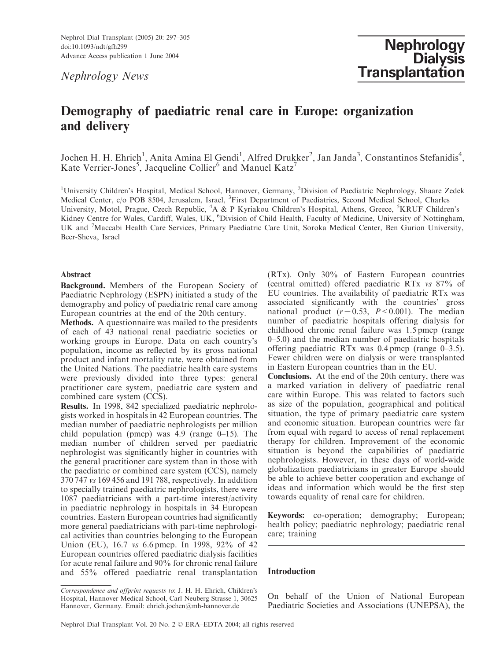Nephrol Dial Transplant (2005) 20: 297–305 doi:10.1093/ndt/gfh299 Advance Access publication 1 June 2004

Nephrology News

# Demography of paediatric renal care in Europe: organization and delivery

Jochen H. H. Ehrich<sup>1</sup>, Anita Amina El Gendi<sup>1</sup>, Alfred Drukker<sup>2</sup>, Jan Janda<sup>3</sup>, Constantinos Stefanidis<sup>4</sup>, Kate Verrier-Jones<sup>5</sup>, Jacqueline Collier<sup>6</sup> and Manuel Katz<sup>7</sup>

<sup>1</sup>University Children's Hospital, Medical School, Hannover, Germany, <sup>2</sup>Division of Paediatric Nephrology, Shaare Zedek Medical Center, c/o POB 8504, Jerusalem, Israel, <sup>3</sup>First Department of Paediatrics, Second Medical School, Charles University, Motol, Prague, Czech Republic, <sup>4</sup>A & P Kyriakou Children's Hospital, Athens, Greece, <sup>5</sup>KRUF Children's Kidney Centre for Wales, Cardiff, Wales, UK, <sup>6</sup>Division of Child Health, Faculty of Medicine, University of Nottingham, UK and <sup>7</sup>Maccabi Health Care Services, Primary Paediatric Care Unit, Soroka Medical Center, Ben Gurion University, Beer-Sheva, Israel

## Abstract

Background. Members of the European Society of Paediatric Nephrology (ESPN) initiated a study of the demography and policy of paediatric renal care among European countries at the end of the 20th century.

Methods. A questionnaire was mailed to the presidents of each of 43 national renal paediatric societies or working groups in Europe. Data on each country's population, income as reflected by its gross national product and infant mortality rate, were obtained from the United Nations. The paediatric health care systems were previously divided into three types: general practitioner care system, paediatric care system and combined care system (CCS).

Results. In 1998, 842 specialized paediatric nephrologists worked in hospitals in 42 European countries. The median number of paediatric nephrologists per million child population (pmcp) was  $\hat{4.9}$  (range  $\hat{0}$ –15). The median number of children served per paediatric nephrologist was significantly higher in countries with the general practitioner care system than in those with the paediatric or combined care system (CCS), namely 370 747 vs 169 456 and 191 788, respectively. In addition to specially trained paediatric nephrologists, there were 1087 paediatricians with a part-time interest/activity in paediatric nephrology in hospitals in 34 European countries. Eastern European countries had significantly more general paediatricians with part-time nephrological activities than countries belonging to the European Union (EU), 16.7 vs 6.6 pmcp. In 1998, 92% of 42 European countries offered paediatric dialysis facilities for acute renal failure and 90% for chronic renal failure and 55% offered paediatric renal transplantation Conclusions. At the end of the 20th century, there was a marked variation in delivery of paediatric renal care within Europe. This was related to factors such as size of the population, geographical and political situation, the type of primary paediatric care system and economic situation. European countries were far from equal with regard to access of renal replacement therapy for children. Improvement of the economic situation is beyond the capabilities of paediatric nephrologists. However, in these days of world-wide globalization paediatricians in greater Europe should be able to achieve better cooperation and exchange of ideas and information which would be the first step towards equality of renal care for children.

Keywords: co-operation; demography; European; health policy; paediatric nephrology; paediatric renal care; training

# Introduction

On behalf of the Union of National European Paediatric Societies and Associations (UNEPSA), the

<sup>(</sup>RTx). Only 30% of Eastern European countries (central omitted) offered paediatric RTx vs 87% of EU countries. The availability of paediatric RTx was associated significantly with the countries' gross national product  $(r=0.53, P<0.001)$ . The median number of paediatric hospitals offering dialysis for childhood chronic renal failure was 1.5 pmcp (range 0–5.0) and the median number of paediatric hospitals offering paediatric RTx was 0.4 pmcp (range 0–3.5). Fewer children were on dialysis or were transplanted in Eastern European countries than in the EU.

Correspondence and offprint requests to: J. H. H. Ehrich, Children's Hospital, Hannover Medical School, Carl Neuberg Strasse 1, 30625 Hannover, Germany. Email: ehrich.jochen@mh-hannover.de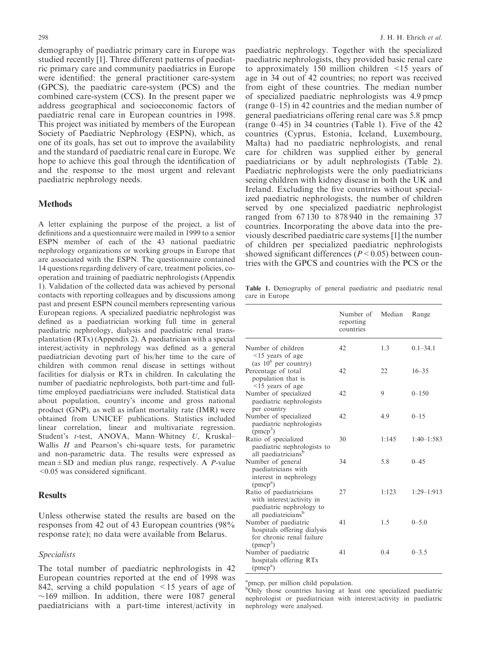demography of paediatric primary care in Europe was studied recently [1]. Three different patterns of paediatric primary care and community paediatrics in Europe were identified: the general practitioner care-system (GPCS), the paediatric care-system (PCS) and the combined care-system (CCS). In the present paper we address geographical and socioeconomic factors of paediatric renal care in European countries in 1998. This project was initiated by members of the European Society of Paediatric Nephrology (ESPN), which, as one of its goals, has set out to improve the availability and the standard of paediatric renal care in Europe. We hope to achieve this goal through the identification of and the response to the most urgent and relevant paediatric nephrology needs.

## **Methods**

A letter explaining the purpose of the project, a list of definitions and a questionnaire were mailed in 1999 to a senior ESPN member of each of the 43 national paediatric nephrology organizations or working groups in Europe that are associated with the ESPN. The questionnaire contained 14 questions regarding delivery of care, treatment policies, cooperation and training of paediatric nephrologists (Appendix 1). Validation of the collected data was achieved by personal contacts with reporting colleagues and by discussions among past and present ESPN council members representing various European regions. A specialized paediatric nephrologist was defined as a paediatrician working full time in general paediatric nephrology, dialysis and paediatric renal transplantation (RTx) (Appendix 2). A paediatrician with a special interest/activity in nephrology was defined as a general paediatrician devoting part of his/her time to the care of children with common renal disease in settings without facilities for dialysis or RTx in children. In calculating the number of paediatric nephrologists, both part-time and fulltime employed paediatricians were included. Statistical data about population, country's income and gross national product (GNP), as well as infant mortality rate (IMR) were obtained from UNICEF publications. Statistics included linear correlation, linear and multivariate regression. Student's t-test, ANOVA, Mann–Whitney U, Kruskal– Wallis  $H$  and Pearson's chi-square tests, for parametric and non-parametric data. The results were expressed as mean $\pm$ SD and median plus range, respectively. A P-value <0.05 was considered significant.

# **Results**

Unless otherwise stated the results are based on the responses from 42 out of 43 European countries (98% response rate); no data were available from Belarus.

### Specialists

The total number of paediatric nephrologists in 42 European countries reported at the end of 1998 was 842, serving a child population <15 years of age of  $\sim$ 169 million. In addition, there were 1087 general paediatricians with a part-time interest/activity in

paediatric nephrology. Together with the specialized paediatric nephrologists, they provided basic renal care to approximately 150 million children <15 years of age in 34 out of 42 countries; no report was received from eight of these countries. The median number of specialized paediatric nephrologists was 4.9 pmcp (range 0–15) in 42 countries and the median number of general paediatricians offering renal care was 5.8 pmcp (range 0–45) in 34 countries (Table 1). Five of the 42 countries (Cyprus, Estonia, Iceland, Luxembourg, Malta) had no paediatric nephrologists, and renal care for children was supplied either by general paediatricians or by adult nephrologists (Table 2). Paediatric nephrologists were the only paediatricians seeing children with kidney disease in both the UK and Ireland. Excluding the five countries without specialized paediatric nephrologists, the number of children served by one specialized paediatric nephrologist ranged from 67 130 to 878 940 in the remaining 37 countries. Incorporating the above data into the previously described paediatric care systems [1] the number of children per specialized paediatric nephrologists showed significant differences ( $P \le 0.05$ ) between countries with the GPCS and countries with the PCS or the

Table 1. Demography of general paediatric and paediatric renal care in Europe

|                                                                                                                     | Number of<br>reporting<br>countries | Median | Range        |
|---------------------------------------------------------------------------------------------------------------------|-------------------------------------|--------|--------------|
| Number of children<br>$\leq$ 15 years of age                                                                        | 42                                  | 1.3    | $0.1 - 34.1$ |
| (as $10^6$ per country)<br>Percentage of total<br>population that is                                                | 42                                  | 22     | $16 - 35$    |
| $\leq$ 15 years of age<br>Number of specialized<br>paediatric nephrologists                                         | 42                                  | 9      | $0 - 150$    |
| per country<br>Number of specialized<br>paediatric nephrologists                                                    | 42                                  | 4.9    | $0 - 1.5$    |
| $(pmcp^3)$<br>Ratio of specialized<br>paediatric nephrologists to                                                   | 30                                  | 1:145  | $1:40-1:583$ |
| all paediatricians <sup>b</sup><br>Number of general<br>paediatricians with<br>interest in nephrology<br>$(pmcp^a)$ | 34                                  | 5.8    | $0 - 45$     |
| Ratio of paediatricians<br>with interest/activity in<br>paediatric nephrology to<br>all paediatricians <sup>b</sup> | 27                                  | 1:123  | $1:29-1:913$ |
| Number of paediatric<br>hospitals offering dialysis<br>for chronic renal failure<br>(pmcp <sup>3</sup> )            | 41                                  | 1.5    | $0 - 5.0$    |
| Number of paediatric<br>hospitals offering RTx<br>$(pmcp^a)$                                                        | 41                                  | 0.4    | $0 - 3.5$    |

<sup>a</sup>pmcp, per million child population.

<sup>b</sup>Only those countries having at least one specialized paediatric nephrologist or paediatrician with interest/activity in paediatric nephrology were analysed.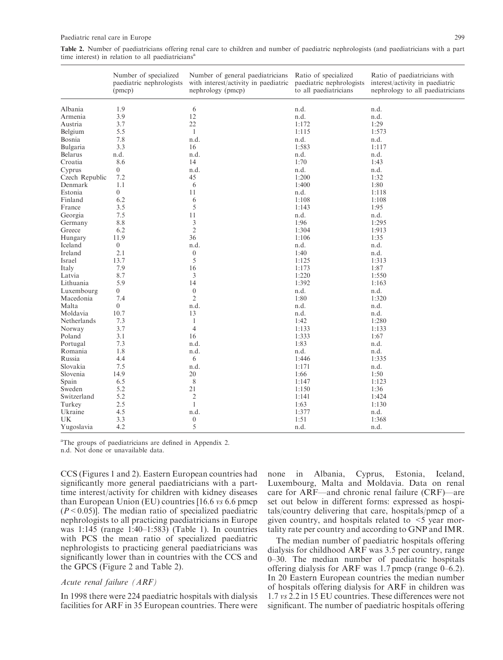| Table 2. Number of paediatricians offering renal care to children and number of paediatric nephrologists (and paediatricians with a part |  |  |  |  |  |  |  |
|------------------------------------------------------------------------------------------------------------------------------------------|--|--|--|--|--|--|--|
| time interest) in relation to all paediatricians <sup>a</sup>                                                                            |  |  |  |  |  |  |  |

|                | Number of specialized<br>paediatric nephrologists<br>(pmcp) | Number of general paediatricians<br>with interest/activity in paediatric<br>nephrology (pmcp) | Ratio of specialized<br>paediatric nephrologists<br>to all paediatricians | Ratio of paediatricians with<br>interest/activity in paediatric<br>nephrology to all paediatricians |  |  |
|----------------|-------------------------------------------------------------|-----------------------------------------------------------------------------------------------|---------------------------------------------------------------------------|-----------------------------------------------------------------------------------------------------|--|--|
| Albania        | 1.9                                                         | 6                                                                                             | n.d.                                                                      | n.d.                                                                                                |  |  |
| Armenia        | 3.9                                                         | 12                                                                                            | n.d.                                                                      | n.d.                                                                                                |  |  |
| Austria        | 3.7                                                         | 22                                                                                            | 1:172                                                                     | 1:29                                                                                                |  |  |
| Belgium        | 5.5                                                         | $\mathbf{1}$                                                                                  | 1:115                                                                     | 1:573                                                                                               |  |  |
| Bosnia         | 7.8                                                         | n.d.                                                                                          | n.d.                                                                      | n.d.                                                                                                |  |  |
| Bulgaria       | 3.3                                                         | 16                                                                                            | 1:583                                                                     | 1:117                                                                                               |  |  |
| <b>Belarus</b> | n.d.                                                        | n.d.                                                                                          | n.d.                                                                      | n.d.                                                                                                |  |  |
| Croatia        | 8.6                                                         | 14                                                                                            | 1:70                                                                      | 1:43                                                                                                |  |  |
| Cyprus         | $\overline{0}$                                              | n.d.                                                                                          | n.d.                                                                      | n.d.                                                                                                |  |  |
| Czech Republic | 7.2                                                         | 45                                                                                            | 1:200                                                                     | 1:32                                                                                                |  |  |
| Denmark        | 1.1                                                         | 6                                                                                             | 1:400                                                                     | 1:80                                                                                                |  |  |
| Estonia        | $\overline{0}$                                              | 11                                                                                            | n.d.                                                                      | 1:118                                                                                               |  |  |
| Finland        | 6.2                                                         | 6                                                                                             | 1:108                                                                     | 1:108                                                                                               |  |  |
| France         | 3.5                                                         | 5                                                                                             | 1:143                                                                     | 1:95                                                                                                |  |  |
| Georgia        | 7.5                                                         | 11                                                                                            | n.d.                                                                      | n.d.                                                                                                |  |  |
| Germany        | $8.8\,$                                                     | $\mathfrak{Z}$                                                                                | 1:96                                                                      | 1:295                                                                                               |  |  |
| Greece         | 6.2                                                         | $\sqrt{2}$                                                                                    | 1:304                                                                     | 1:913                                                                                               |  |  |
| Hungary        | 11.9                                                        | 36                                                                                            | 1:106                                                                     | 1:35                                                                                                |  |  |
| Iceland        | $\overline{0}$                                              | n.d.                                                                                          | n.d.                                                                      | n.d.                                                                                                |  |  |
| Ireland        | 2.1                                                         | $\boldsymbol{0}$                                                                              | 1:40                                                                      | n.d.                                                                                                |  |  |
| Israel         | 13.7                                                        | 5                                                                                             | 1:125                                                                     | 1:313                                                                                               |  |  |
| Italy          | 7.9                                                         | 16                                                                                            | 1:173                                                                     | 1:87                                                                                                |  |  |
| Latvia         | 8.7                                                         | 3                                                                                             | 1:220                                                                     | 1:550                                                                                               |  |  |
| Lithuania      | 5.9                                                         | 14                                                                                            | 1:392                                                                     | 1:163                                                                                               |  |  |
| Luxembourg     | $\overline{0}$                                              | $\boldsymbol{0}$                                                                              | n.d.                                                                      | n.d.                                                                                                |  |  |
| Macedonia      | 7.4                                                         | $\mathfrak{2}$                                                                                | 1:80                                                                      | 1:320                                                                                               |  |  |
| Malta          | $\overline{0}$                                              | n.d.                                                                                          | n.d.                                                                      | n.d.                                                                                                |  |  |
| Moldavia       | 10.7                                                        | 13                                                                                            | n.d.                                                                      | n.d.                                                                                                |  |  |
| Netherlands    | 7.3                                                         | $\mathbf{1}$                                                                                  | 1:42                                                                      | 1:280                                                                                               |  |  |
| Norway         | 3.7                                                         | $\overline{4}$                                                                                | 1:133                                                                     | 1:133                                                                                               |  |  |
| Poland         | 3.1                                                         | 16                                                                                            | 1:333                                                                     | 1:67                                                                                                |  |  |
| Portugal       | 7.3                                                         | n.d.                                                                                          | 1:83                                                                      | n.d.                                                                                                |  |  |
| Romania        | 1.8                                                         | n.d.                                                                                          | n.d.                                                                      | n.d.                                                                                                |  |  |
| Russia         | 4.4                                                         | 6                                                                                             | 1:446                                                                     | 1:335                                                                                               |  |  |
| Slovakia       | 7.5                                                         | n.d.                                                                                          | 1:171                                                                     | n.d.                                                                                                |  |  |
| Slovenia       | 14.9                                                        | 20                                                                                            | 1:66                                                                      | 1:50                                                                                                |  |  |
| Spain          | 6.5                                                         | $\,$ 8 $\,$                                                                                   | 1:147                                                                     | 1:123                                                                                               |  |  |
| Sweden         | 5.2                                                         | 21                                                                                            | 1:150                                                                     | 1:36                                                                                                |  |  |
| Switzerland    | 5.2                                                         | $\overline{c}$                                                                                | 1:141                                                                     | 1:424                                                                                               |  |  |
| Turkey         | 2.5                                                         | $\mathbf{1}$                                                                                  | 1:63                                                                      | 1:130                                                                                               |  |  |
| Ukraine        | 4.5                                                         | n.d.                                                                                          | 1:377                                                                     | n.d.                                                                                                |  |  |
| UK             | 3.3                                                         | $\boldsymbol{0}$                                                                              | 1:51                                                                      | 1:368                                                                                               |  |  |
| Yugoslavia     | 4.2                                                         | 5                                                                                             | n.d.                                                                      | n.d.                                                                                                |  |  |

<sup>a</sup>The groups of paediatricians are defined in Appendix 2.

n.d. Not done or unavailable data.

CCS (Figures 1 and 2). Eastern European countries had significantly more general paediatricians with a parttime interest/activity for children with kidney diseases than European Union (EU) countries [16.6 vs 6.6 pmcp  $(P<0.05)$ ]. The median ratio of specialized paediatric nephrologists to all practicing paediatricians in Europe was 1:145 (range 1:40–1:583) (Table 1). In countries with PCS the mean ratio of specialized paediatric nephrologists to practicing general paediatricians was significantly lower than in countries with the CCS and the GPCS (Figure 2 and Table 2).

# Acute renal failure (ARF)

In 1998 there were 224 paediatric hospitals with dialysis facilities for ARF in 35 European countries. There were none in Albania, Cyprus, Estonia, Iceland, Luxembourg, Malta and Moldavia. Data on renal care for ARF—and chronic renal failure (CRF)—are set out below in different forms: expressed as hospitals/country delivering that care, hospitals/pmcp of a given country, and hospitals related to  $\leq$  year mortality rate per country and according to GNP and IMR.

The median number of paediatric hospitals offering dialysis for childhood ARF was 3.5 per country, range 0–30. The median number of paediatric hospitals offering dialysis for ARF was  $1.7$  pmcp (range  $0-6.2$ ). In 20 Eastern European countries the median number of hospitals offering dialysis for ARF in children was 1.7 vs 2.2 in 15 EU countries. These differences were not significant. The number of paediatric hospitals offering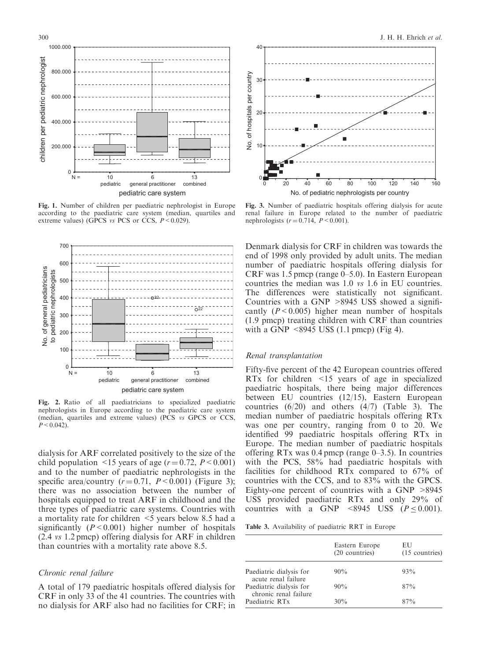

Fig. 1. Number of children per paediatric nephrologist in Europe according to the paediatric care system (median, quartiles and extreme values) (GPCS *vs* PCS or CCS,  $P \le 0.029$ ).



Fig. 2. Ratio of all paediatricians to specialized paediatric nephrologists in Europe according to the paediatric care system (median, quartiles and extreme values) (PCS vs GPCS or CCS,  $P < 0.042$ ).

dialysis for ARF correlated positively to the size of the child population  $\leq 15$  years of age ( $r = 0.72$ ,  $P \leq 0.001$ ) and to the number of paediatric nephrologists in the specific area/country  $(r=0.71, P<0.001)$  (Figure 3); there was no association between the number of hospitals equipped to treat ARF in childhood and the three types of paediatric care systems. Countries with a mortality rate for children <5 years below 8.5 had a significantly  $(P < 0.001)$  higher number of hospitals (2.4 vs 1.2 pmcp) offering dialysis for ARF in children than countries with a mortality rate above 8.5.

#### Chronic renal failure

A total of 179 paediatric hospitals offered dialysis for CRF in only 33 of the 41 countries. The countries with no dialysis for ARF also had no facilities for CRF; in



Fig. 3. Number of paediatric hospitals offering dialysis for acute renal failure in Europe related to the number of paediatric nephrologists  $(r = 0.714, P < 0.001)$ .

Denmark dialysis for CRF in children was towards the end of 1998 only provided by adult units. The median number of paediatric hospitals offering dialysis for CRF was 1.5 pmcp (range 0–5.0). In Eastern European countries the median was 1.0 vs 1.6 in EU countries. The differences were statistically not significant. Countries with a GNP >8945 US\$ showed a significantly  $(P < 0.005)$  higher mean number of hospitals (1.9 pmcp) treating children with CRF than countries with a GNP  $\leq 8945$  US\$ (1.1 pmcp) (Fig 4).

#### Renal transplantation

Fifty-five percent of the 42 European countries offered RTx for children <15 years of age in specialized paediatric hospitals, there being major differences between EU countries (12/15), Eastern European countries  $(6/20)$  and others  $(4/7)$  (Table 3). The median number of paediatric hospitals offering RTx was one per country, ranging from 0 to 20. We identified 99 paediatric hospitals offering RTx in Europe. The median number of paediatric hospitals offering RTx was  $0.4$  pmcp (range  $0-3.5$ ). In countries with the PCS, 58% had paediatric hospitals with facilities for childhood RTx compared to 67% of countries with the CCS, and to 83% with the GPCS. Eighty-one percent of countries with a GNP >8945 US\$ provided paediatric RTx and only 29% of countries with a GNP <8945 US\$ ( $P \le 0.001$ ).

Table 3. Availability of paediatric RRT in Europe

|                                                  | Eastern Europe<br>(20 countries) | EU<br>$(15$ countries) |
|--------------------------------------------------|----------------------------------|------------------------|
| Paediatric dialysis for<br>acute renal failure   | 90%                              | 93%                    |
| Paediatric dialysis for<br>chronic renal failure | 90%                              | 87%                    |
| Paediatric RT <sub>x</sub>                       | 30%                              | 87%                    |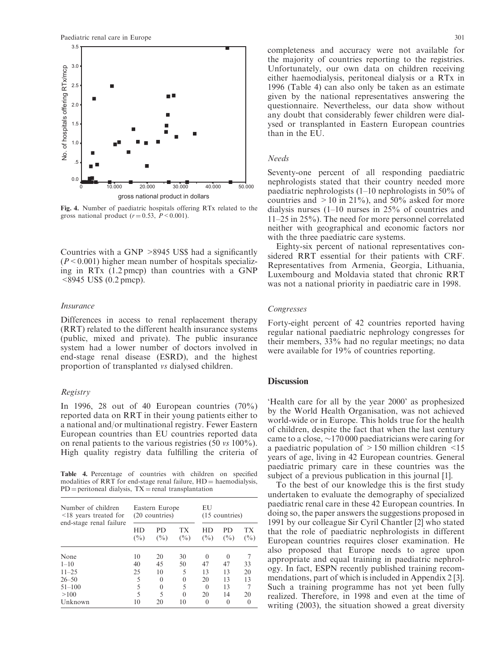

Fig. 4. Number of paediatric hospitals offering RTx related to the gross national product  $(r = 0.53, P \le 0.001)$ .

Countries with a GNP >8945 US\$ had a significantly  $(P<0.001)$  higher mean number of hospitals specializing in RTx (1.2 pmcp) than countries with a GNP <8945 US\$ (0.2 pmcp).

#### Insurance

Differences in access to renal replacement therapy (RRT) related to the different health insurance systems (public, mixed and private). The public insurance system had a lower number of doctors involved in end-stage renal disease (ESRD), and the highest proportion of transplanted vs dialysed children.

#### Registry

In 1996, 28 out of 40 European countries  $(70\%)$ reported data on RRT in their young patients either to a national and/or multinational registry. Fewer Eastern European countries than EU countries reported data on renal patients to the various registries (50 vs 100%). High quality registry data fulfilling the criteria of

Table 4. Percentage of countries with children on specified modalities of RRT for end-stage renal failure,  $HD =$  haemodialysis,  $PD =$  peritoneal dialysis,  $TX =$  renal transplantation

| Number of children<br>$\leq$ 18 years treated for<br>end-stage renal failure |              | Eastern Europe<br>(20 countries) |              | EU<br>(15 countries) |               |              |  |
|------------------------------------------------------------------------------|--------------|----------------------------------|--------------|----------------------|---------------|--------------|--|
|                                                                              | HD<br>$(\%)$ | PD<br>$($ %)                     | TX<br>$($ %) | HD<br>$($ %)         | PD.<br>$($ %) | ТX<br>$(\%)$ |  |
| None                                                                         | 10           | 20                               | 30           | $\Omega$             | $\Omega$      |              |  |
| $1 - 10$                                                                     | 40           | 45                               | 50           | 47                   | 47            | 33           |  |
| $11 - 25$                                                                    | 25           | 10                               | 5            | 13                   | 13            | 20           |  |
| $26 - 50$                                                                    | 5            | $\theta$                         | $\theta$     | 20                   | 13            | 13           |  |
| $51 - 100$                                                                   | 5            | $\theta$                         | 5            | $\Omega$             | 13            |              |  |
| >100                                                                         | $\varsigma$  | 5                                | $\Omega$     | 20                   | 14            | 20           |  |
| Unknown                                                                      | 10           | 20                               | 10           |                      |               |              |  |

completeness and accuracy were not available for the majority of countries reporting to the registries. Unfortunately, our own data on children receiving either haemodialysis, peritoneal dialysis or a RTx in 1996 (Table 4) can also only be taken as an estimate given by the national representatives answering the questionnaire. Nevertheless, our data show without any doubt that considerably fewer children were dialysed or transplanted in Eastern European countries than in the EU.

#### Needs

Seventy-one percent of all responding paediatric nephrologists stated that their country needed more paediatric nephrologists (1–10 nephrologists in 50% of countries and  $>10$  in 21%), and 50% asked for more dialysis nurses (1–10 nurses in 25% of countries and 11–25 in 25%). The need for more personnel correlated neither with geographical and economic factors nor with the three paediatric care systems.

Eighty-six percent of national representatives considered RRT essential for their patients with CRF. Representatives from Armenia, Georgia, Lithuania, Luxembourg and Moldavia stated that chronic RRT was not a national priority in paediatric care in 1998.

#### Congresses

Forty-eight percent of 42 countries reported having regular national paediatric nephrology congresses for their members, 33% had no regular meetings; no data were available for 19% of countries reporting.

# **Discussion**

'Health care for all by the year 2000' as prophesized by the World Health Organisation, was not achieved world-wide or in Europe. This holds true for the health of children, despite the fact that when the last century came to a close,  $\sim$ 170 000 paediatricians were caring for a paediatric population of >150 million children <15 years of age, living in 42 European countries. General paediatric primary care in these countries was the subject of a previous publication in this journal [1].

To the best of our knowledge this is the first study undertaken to evaluate the demography of specialized paediatric renal care in these 42 European countries. In doing so, the paper answers the suggestions proposed in 1991 by our colleague Sir Cyril Chantler [2] who stated that the role of paediatric nephrologists in different European countries requires closer examination. He also proposed that Europe needs to agree upon appropriate and equal training in paediatric nephrology. In fact, ESPN recently published training recommendations, part of which is included in Appendix 2 [3]. Such a training programme has not yet been fully realized. Therefore, in 1998 and even at the time of writing (2003), the situation showed a great diversity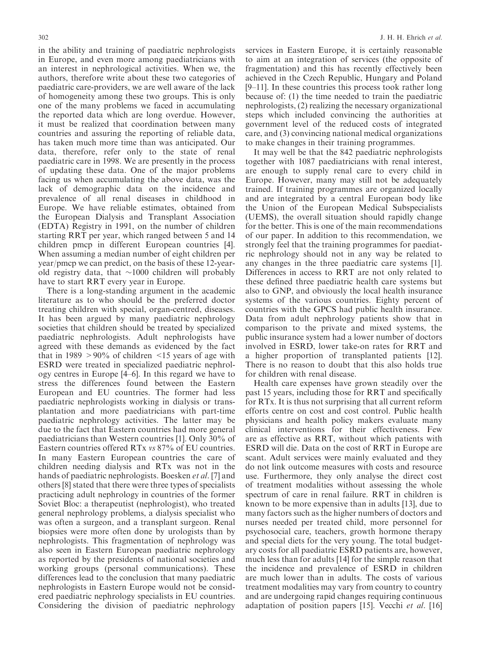in the ability and training of paediatric nephrologists in Europe, and even more among paediatricians with an interest in nephrological activities. When we, the authors, therefore write about these two categories of paediatric care-providers, we are well aware of the lack of homogeneity among these two groups. This is only one of the many problems we faced in accumulating the reported data which are long overdue. However, it must be realized that coordination between many countries and assuring the reporting of reliable data, has taken much more time than was anticipated. Our data, therefore, refer only to the state of renal paediatric care in 1998. We are presently in the process of updating these data. One of the major problems facing us when accumulating the above data, was the lack of demographic data on the incidence and prevalence of all renal diseases in childhood in Europe. We have reliable estimates, obtained from the European Dialysis and Transplant Association (EDTA) Registry in 1991, on the number of children starting RRT per year, which ranged between 5 and 14 children pmcp in different European countries [4]. When assuming a median number of eight children per year/pmcp we can predict, on the basis of these 12-yearold registry data, that  $\sim$ 1000 children will probably have to start RRT every year in Europe.

There is a long-standing argument in the academic literature as to who should be the preferred doctor treating children with special, organ-centred, diseases. It has been argued by many paediatric nephrology societies that children should be treated by specialized paediatric nephrologists. Adult nephrologists have agreed with these demands as evidenced by the fact that in 1989  $>90\%$  of children  $\leq 15$  years of age with ESRD were treated in specialized paediatric nephrology centres in Europe [4–6]. In this regard we have to stress the differences found between the Eastern European and EU countries. The former had less paediatric nephrologists working in dialysis or transplantation and more paediatricians with part-time paediatric nephrology activities. The latter may be due to the fact that Eastern countries had more general paediatricians than Western countries [1]. Only 30% of Eastern countries offered RTx vs 87% of EU countries. In many Eastern European countries the care of children needing dialysis and RTx was not in the hands of paediatric nephrologists. Boesken et al. [7] and others [8] stated that there were three types of specialists practicing adult nephrology in countries of the former Soviet Bloc: a therapeutist (nephrologist), who treated general nephrology problems, a dialysis specialist who was often a surgeon, and a transplant surgeon. Renal biopsies were more often done by urologists than by nephrologists. This fragmentation of nephrology was also seen in Eastern European paediatric nephrology as reported by the presidents of national societies and working groups (personal communications). These differences lead to the conclusion that many paediatric nephrologists in Eastern Europe would not be considered paediatric nephrology specialists in EU countries. Considering the division of paediatric nephrology

services in Eastern Europe, it is certainly reasonable to aim at an integration of services (the opposite of fragmentation) and this has recently effectively been achieved in the Czech Republic, Hungary and Poland [9–11]. In these countries this process took rather long because of: (1) the time needed to train the paediatric nephrologists, (2) realizing the necessary organizational steps which included convincing the authorities at government level of the reduced costs of integrated care, and (3) convincing national medical organizations to make changes in their training programmes.

It may well be that the 842 paediatric nephrologists together with 1087 paediatricians with renal interest, are enough to supply renal care to every child in Europe. However, many may still not be adequately trained. If training programmes are organized locally and are integrated by a central European body like the Union of the European Medical Subspecialists (UEMS), the overall situation should rapidly change for the better. This is one of the main recommendations of our paper. In addition to this recommendation, we strongly feel that the training programmes for paediatric nephrology should not in any way be related to any changes in the three paediatric care systems [1]. Differences in access to RRT are not only related to these defined three paediatric health care systems but also to GNP, and obviously the local health insurance systems of the various countries. Eighty percent of countries with the GPCS had public health insurance. Data from adult nephrology patients show that in comparison to the private and mixed systems, the public insurance system had a lower number of doctors involved in ESRD, lower take-on rates for RRT and a higher proportion of transplanted patients [12]. There is no reason to doubt that this also holds true for children with renal disease.

Health care expenses have grown steadily over the past 15 years, including those for RRT and specifically for RTx. It is thus not surprising that all current reform efforts centre on cost and cost control. Public health physicians and health policy makers evaluate many clinical interventions for their effectiveness. Few are as effective as RRT, without which patients with ESRD will die. Data on the cost of RRT in Europe are scant. Adult services were mainly evaluated and they do not link outcome measures with costs and resource use. Furthermore, they only analyse the direct cost of treatment modalities without assessing the whole spectrum of care in renal failure. RRT in children is known to be more expensive than in adults [13], due to many factors such as the higher numbers of doctors and nurses needed per treated child, more personnel for psychosocial care, teachers, growth hormone therapy and special diets for the very young. The total budgetary costs for all paediatric ESRD patients are, however, much less than for adults [14] for the simple reason that the incidence and prevalence of ESRD in children are much lower than in adults. The costs of various treatment modalities may vary from country to country and are undergoing rapid changes requiring continuous adaptation of position papers [15]. Vecchi et al. [16]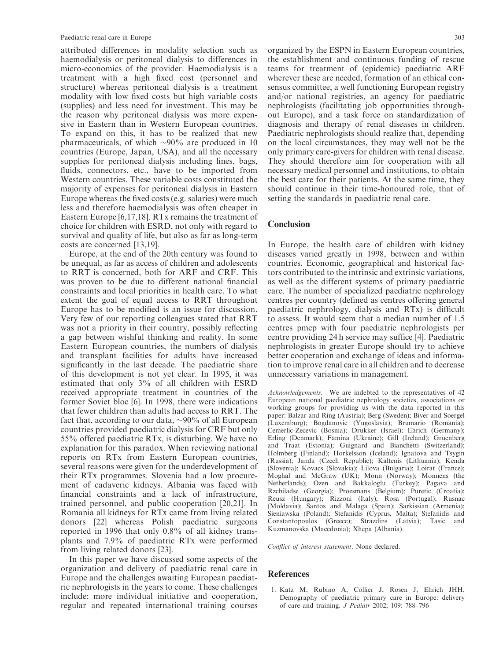attributed differences in modality selection such as haemodialysis or peritoneal dialysis to differences in micro-economics of the provider. Haemodialysis is a treatment with a high fixed cost (personnel and structure) whereas peritoneal dialysis is a treatment modality with low fixed costs but high variable costs (supplies) and less need for investment. This may be the reason why peritoneal dialysis was more expensive in Eastern than in Western European countries. To expand on this, it has to be realized that new pharmaceuticals, of which  $\sim 90\%$  are produced in 10 countries (Europe, Japan, USA), and all the necessary supplies for peritoneal dialysis including lines, bags, fluids, connectors, etc., have to be imported from Western countries. These variable costs constituted the majority of expenses for peritoneal dialysis in Eastern Europe whereas the fixed costs (e.g. salaries) were much less and therefore haemodialysis was often cheaper in Eastern Europe [6,17,18]. RTx remains the treatment of choice for children with ESRD, not only with regard to survival and quality of life, but also as far as long-term costs are concerned [13,19].

Europe, at the end of the 20th century was found to be unequal, as far as access of children and adolescents to RRT is concerned, both for ARF and CRF. This was proven to be due to different national financial constraints and local priorities in health care. To what extent the goal of equal access to RRT throughout Europe has to be modified is an issue for discussion. Very few of our reporting colleagues stated that RRT was not a priority in their country, possibly reflecting a gap between wishful thinking and reality. In some Eastern European countries, the numbers of dialysis and transplant facilities for adults have increased significantly in the last decade. The paediatric share of this development is not yet clear. In 1995, it was estimated that only 3% of all children with ESRD received appropriate treatment in countries of the former Soviet bloc [6]. In 1998, there were indications that fewer children than adults had access to RRT. The fact that, according to our data,  $\sim 90\%$  of all European countries provided paediatric dialysis for CRF but only 55% offered paediatric RTx, is disturbing. We have no explanation for this paradox. When reviewing national reports on RTx from Eastern European countries, several reasons were given for the underdevelopment of their RTx programmes. Slovenia had a low procurement of cadaveric kidneys. Albania was faced with financial constraints and a lack of infrastructure, trained personnel, and public cooperation [20,21]. In Romania all kidneys for RTx came from living related donors [22] whereas Polish paediatric surgeons reported in 1996 that only 0.8% of all kidney transplants and 7.9% of paediatric RTx were performed from living related donors [23].

In this paper we have discussed some aspects of the organization and delivery of paediatric renal care in Europe and the challenges awaiting European paediatric nephrologists in the years to come. These challenges include: more individual initiative and cooperation, regular and repeated international training courses

organized by the ESPN in Eastern European countries, the establishment and continuous funding of rescue teams for treatment of (epidemic) paediatric ARF wherever these are needed, formation of an ethical consensus committee, a well functioning European registry and/or national registries, an agency for paediatric nephrologists (facilitating job opportunities throughout Europe), and a task force on standardization of diagnosis and therapy of renal diseases in children. Paediatric nephrologists should realize that, depending on the local circumstances, they may well not be the only primary care-givers for children with renal disease. They should therefore aim for cooperation with all necessary medical personnel and institutions, to obtain the best care for their patients. At the same time, they should continue in their time-honoured role, that of setting the standards in paediatric renal care.

### Conclusion

In Europe, the health care of children with kidney diseases varied greatly in 1998, between and within countries. Economic, geographical and historical factors contributed to the intrinsic and extrinsic variations, as well as the different systems of primary paediatric care. The number of specialized paediatric nephrology centres per country (defined as centres offering general paediatric nephrology, dialysis and RTx) is difficult to assess. It would seem that a median number of 1.5 centres pmcp with four paediatric nephrologists per centre providing 24 h service may suffice [4]. Paediatric nephrologists in greater Europe should try to achieve better cooperation and exchange of ideas and information to improve renal care in all children and to decrease unnecessary variations in management.

Acknowledgements. We are indebted to the representatives of 42 European national paediatric nephrology societies, associations or working groups for providing us with the data reported in this paper: Balzar and Ring (Austria); Berg (Sweden); Biver and Soergel (Luxemburg); Bogdanovic (Yugoslavia); Brumario (Romania); Cemerlic-Zecevic (Bosnia); Drukker (Israel); Ehrich (Germany); Erling (Denmark); Famina (Ukraine); Gill (Ireland); Gruenberg and Traat (Estonia); Guignard and Bianchetti (Switzerland); Holmberg (Finland); Horkelsson (Iceland); Ignatova and Tsygin (Russia); Janda (Czech Republic); Kaltenis (Lithuania); Kenda (Slovenia); Kovacs (Slovakia); Lilova (Bulgaria); Loirat (France); Moghal and McGraw (UK); Monn (Norway); Monnens (the Netherlands); Ozen and Bakkaloglu (Turkey); Pagava and Rzchiladse (Georgia); Proesmans (Belgium); Puretic (Croatia); Reusz (Hungary); Rizzoni (Italy); Rosa (Portugal); Rusnac (Moldavia); Santos and Malaga (Spain); Sarkissian (Armenia); Sieniawska (Poland); Stefanidis (Cyprus, Malta); Stefanidis and Constantopoulos (Greece); Strazdins (Latvia); Tasic and Kuzmanovska (Macedonia); Xhepa (Albania).

Conflict of interest statement. None declared.

#### **References**

1. Katz M, Rubino A, Collier J, Rosen J, Ehrich JHH. Demography of paediatric primary care in Europe: delivery of care and training. J Pediatr 2002; 109: 788–796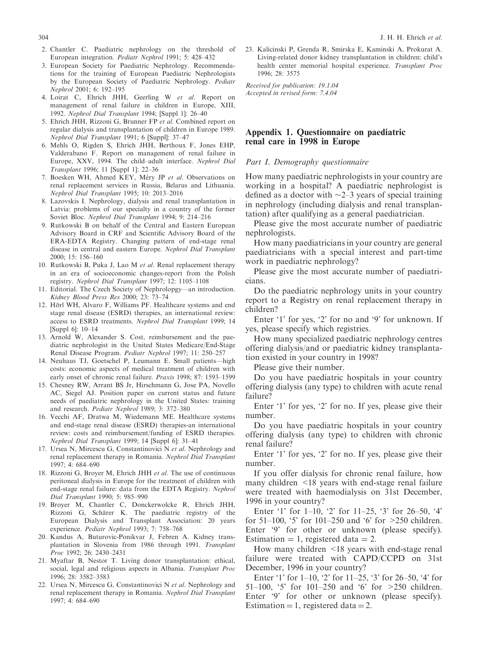- 2. Chantler C. Paediatric nephrology on the threshold of European integration. Pediatr Nephrol 1991; 5: 428–432
- 3. European Society for Paediatric Nephrology. Recommendations for the training of European Paediatric Nephrologists by the European Society of Paediatric Nephrology. Pediatr Nephrol 2001; 6: 192–195
- 4. Loirat C, Ehrich JHH, Geerling W et al. Report on management of renal failure in children in Europe, XIII, 1992. Nephrol Dial Transplant 1994; [Suppl 1]: 26–40
- 5. Ehrich JHH, Rizzoni G, Brunner FP et al. Combined report on regular dialysis and transplantation of children in Europe 1989. Nephrol Dial Transplant 1991; 6 [Suppl]: 37–47
- 6. Mehls O, Rigden S, Ehrich JHH, Berthoux F, Jones EHP, Valderabano F. Report on management of renal failure in Europe, XXV, 1994. The child–adult interface. Nephrol Dial Transplant 1996; 11 [Suppl 1]: 22–36
- 7. Boesken WH, Ahmed KEY, Méry JP et al. Observations on renal replacement services in Russia, Belarus and Lithuania. Nephrol Dial Transplant 1995; 10: 2013–2016
- 8. Lazovskis I. Nephrology, dialysis and renal transplantation in Latvia: problems of our specialty in a country of the former Soviet Bloc. Nephrol Dial Transplant 1994; 9: 214–216
- 9. Rutkowski B on behalf of the Central and Eastern European Advisory Board in CRF and Scientific Advisory Board of the ERA-EDTA Registry. Changing pattern of end-stage renal disease in central and eastern Europe. Nephrol Dial Transplant 2000; 15: 156–160
- 10. Rutkowski B, Puka J, Lao M et al. Renal replacement therapy in an era of socioeconomic changes-report from the Polish registry. Nephrol Dial Transplant 1997; 12: 1105–1108
- 11. Editorial. The Czech Society of Nephrolopgy—an introduction. Kidney Blood Press Res 2000; 23: 73–74
- 12. Hörl WH, Alvaro F, Williams PF. Healthcare systems and end stage renal disease (ESRD) therapies, an international review: access to ESRD treatments. Nephrol Dial Transplant 1999; 14 [Suppl 6]: 10–14
- 13. Arnold W, Alexander S. Cost, reimbursement and the paediatric nephrologist in the United States Medicare/End-Stage Renal Disease Program. Pediatr Nephrol 1997; 11: 250–257
- 14. Neuhaus TJ, Goetschel P, Leumann E. Small patients—high costs: economic aspects of medical treatment of children with early onset of chronic renal failure. Praxis 1998; 87: 1593–1599
- 15. Chesney RW, Arrant BS Jr, Hirschmann G, Jose PA, Novello AC, Siegel AJ. Position paper on current status and future needs of paediatric nephrology in the United States: training and research. Pediatr Nephrol 1989; 3: 372–380
- 16. Vecchi AF, Dratwa M, Wiedemann ME. Healthcare systems and end-stage renal disease (ESRD) therapies-an international review: costs and reimbursement/funding of ESRD therapies. Nephrol Dial Transplant 1999; 14 [Suppl 6]: 31–41
- 17. Ursea N, Mircescu G, Constantinovici N et al. Nephrology and renal replacement therapy in Romania. Nephrol Dial Transplant 1997; 4: 684–690
- 18. Rizzoni G, Broyer M, Ehrich JHH et al. The use of continuous peritoneal dialysis in Europe for the treatment of children with end-stage renal failure: data from the EDTA Registry. Nephrol Dial Transplant 1990; 5: 985–990
- 19. Broyer M, Chantler C, Donckerwolcke R, Ehrich JHH, Rizzoni G, Schärer K. The paediatric registry of the European Dialysis and Transplant Association: 20 years experience. Pediatr Nephrol 1993; 7: 758–768
- 20. Kandus A, Buturovic-Ponikvar J, Febren A. Kidney transplantation in Slovenia from 1986 through 1991. Transplant Proc 1992; 26: 2430–2431
- 21. Myaftar B, Nestor T. Living donor transplantation: ethical, social, legal and religious aspects in Albania. Transplant Proc 1996; 28: 3582–3583
- 22. Ursea N, Mircescu G, Constantinovici N et al. Nephrology and renal replacement therapy in Romania. Nephrol Dial Transplant 1997; 4: 684–690

23. Kalicinski P, Grenda R, Smirska E, Kaminski A, Prokurat A. Living-related donor kidney transplantation in children: child's health center memorial hospital experience. Transplant Proc 1996; 28: 3575

Received for publication: 19.1.04 Accepted in revised form: 7.4.04

# Appendix 1. Questionnaire on paediatric renal care in 1998 in Europe

Part I. Demography questionnaire

How many paediatric nephrologists in your country are working in a hospital? A paediatric nephrologist is defined as a doctor with  $\sim$ 2–3 years of special training in nephrology (including dialysis and renal transplantation) after qualifying as a general paediatrician.

Please give the most accurate number of paediatric nephrologists.

How many paediatricians in your country are general paediatricians with a special interest and part-time work in paediatric nephrology?

Please give the most accurate number of paediatricians.

Do the paediatric nephrology units in your country report to a Registry on renal replacement therapy in children?

Enter '1' for yes, '2' for no and '9' for unknown. If yes, please specify which registries.

How many specialized paediatric nephrology centres offering dialysis/and or paediatric kidney transplantation existed in your country in 1998?

Please give their number.

Do you have paediatric hospitals in your country offering dialysis (any type) to children with acute renal failure?

Enter '1' for yes, '2' for no. If yes, please give their number.

Do you have paediatric hospitals in your country offering dialysis (any type) to children with chronic renal failure?

Enter '1' for yes, '2' for no. If yes, please give their number.

If you offer dialysis for chronic renal failure, how many children <18 years with end-stage renal failure were treated with haemodialysis on 31st December, 1996 in your country?

Enter '1' for 1–10, '2' for 11–25, '3' for 26–50, '4' for 51–100, '5' for 101–250 and '6' for >250 children. Enter '9' for other or unknown (please specify). Estimation  $= 1$ , registered data  $= 2$ .

How many children <18 years with end-stage renal failure were treated with CAPD/CCPD on 31st December, 1996 in your country?

Enter '1' for  $1-10$ , '2' for  $11-25$ , '3' for  $26-50$ , '4' for 51–100, '5' for 101–250 and '6' for >250 children. Enter '9' for other or unknown (please specify). Estimation = 1, registered data = 2.